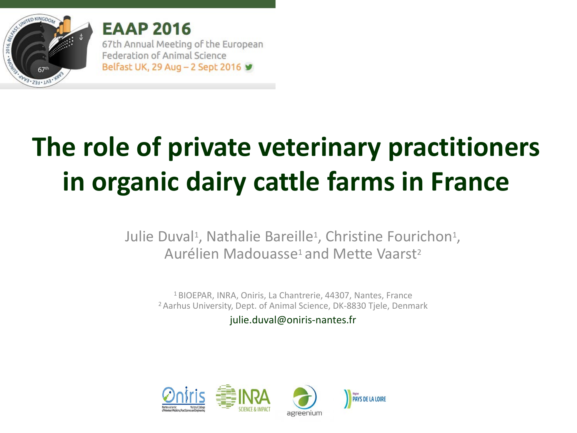

**EAAP 2016** 67th Annual Meeting of the European Federation of Animal Science Belfast UK, 29 Aug - 2 Sept 2016 ¥

# **The role of private veterinary practitioners in organic dairy cattle farms in France**

Julie Duval<sup>1</sup>, Nathalie Bareille<sup>1</sup>, Christine Fourichon<sup>1</sup>, Aurélien Madouasse<sup>1</sup> and Mette Vaarst<sup>2</sup>

1 BIOEPAR, INRA, Oniris, La Chantrerie, 44307, Nantes, France <sup>2</sup> Aarhus University, Dept. of Animal Science, DK-8830 Tjele, Denmark

julie.duval@oniris-nantes.fr

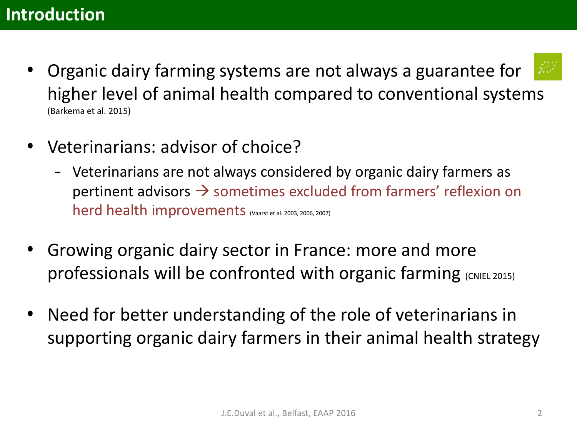- Organic dairy farming systems are not always a guarantee for higher level of animal health compared to conventional systems (Barkema et al. 2015)
- Veterinarians: advisor of choice?
	- Veterinarians are not always considered by organic dairy farmers as pertinent advisors  $\rightarrow$  sometimes excluded from farmers' reflexion on herd health improvements (Vaarst et al. 2003, 2006, 2007)
- Growing organic dairy sector in France: more and more professionals will be confronted with organic farming (CNIEL 2015)
- Need for better understanding of the role of veterinarians in supporting organic dairy farmers in their animal health strategy

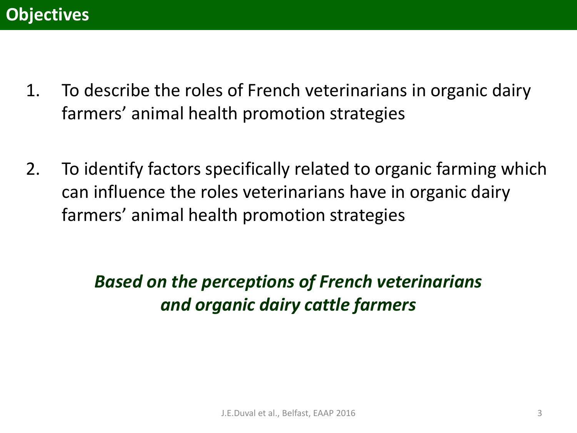- 1. To describe the roles of French veterinarians in organic dairy farmers' animal health promotion strategies
- 2. To identify factors specifically related to organic farming which can influence the roles veterinarians have in organic dairy farmers' animal health promotion strategies

*Based on the perceptions of French veterinarians and organic dairy cattle farmers*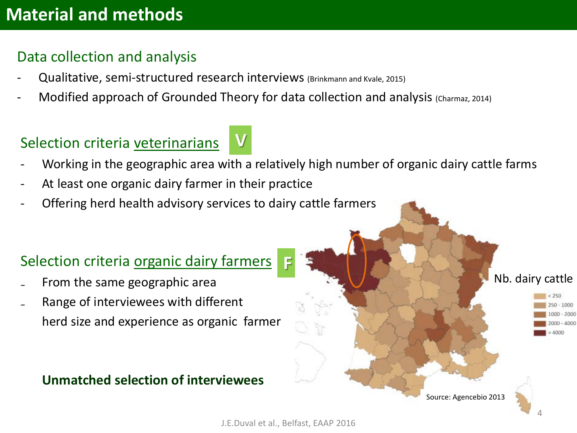#### Data collection and analysis

- Qualitative, semi-structured research interviews (Brinkmann and Kvale, 2015)
- Modified approach of Grounded Theory for data collection and analysis (Charmaz, 2014)

**V**

### Selection criteria veterinarians

Working in the geographic area with a relatively high number of organic dairy cattle farms

**F**

- At least one organic dairy farmer in their practice
- Offering herd health advisory services to dairy cattle farmers

#### Selection criteria organic dairy farmers

- ₋ From the same geographic area
- ₋ Range of interviewees with different herd size and experience as organic farmer

#### **Unmatched selection of interviewees**

Nb. dairy cattle

 $50 - 1000$  $-2000$  $-4000$ 4000

Source: Agencebio 2013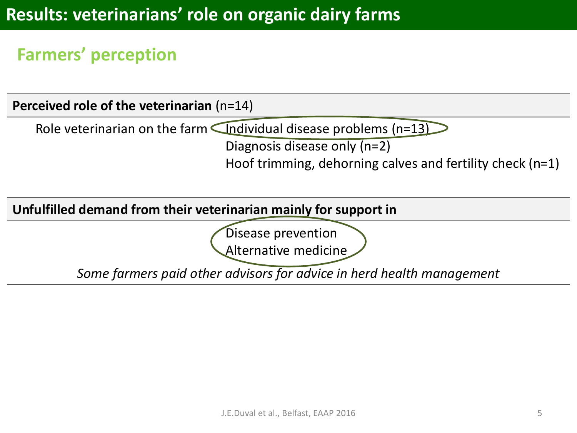### **Farmers' perception**

**Perceived role of the veterinarian** (n=14)

Role veterinarian on the farm  $\Box$  Individual disease problems (n=13)

Diagnosis disease only (n=2)

Hoof trimming, dehorning calves and fertility check (n=1)

#### **Unfulfilled demand from their veterinarian mainly for support in**

Disease prevention

Alternative medicine

*Some farmers paid other advisors for advice in herd health management*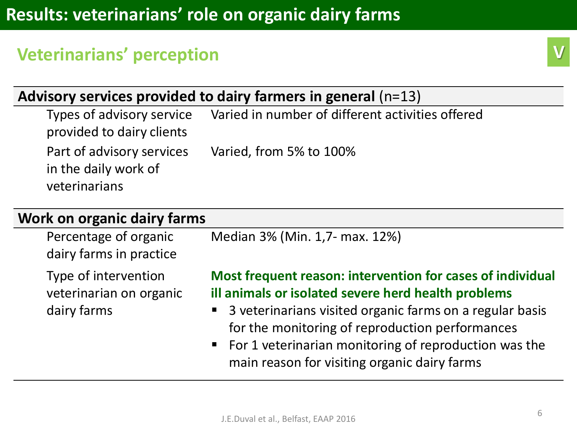### **Veterinarians' perception**

### **Advisory services provided to dairy farmers in general** (n=13)

Types of advisory service provided to dairy clients Varied in number of different activities offered Part of advisory services in the daily work of veterinarians Varied, from 5% to 100%

#### **Work on organic dairy farms**

| Percentage of organic                                          | Median 3% (Min. 1,7- max. 12%)                                                                                                                                                                                                                                                                                                                |
|----------------------------------------------------------------|-----------------------------------------------------------------------------------------------------------------------------------------------------------------------------------------------------------------------------------------------------------------------------------------------------------------------------------------------|
| dairy farms in practice                                        |                                                                                                                                                                                                                                                                                                                                               |
| Type of intervention<br>veterinarian on organic<br>dairy farms | Most frequent reason: intervention for cases of individual<br>ill animals or isolated severe herd health problems<br>• 3 veterinarians visited organic farms on a regular basis<br>for the monitoring of reproduction performances<br>■ For 1 veterinarian monitoring of reproduction was the<br>main reason for visiting organic dairy farms |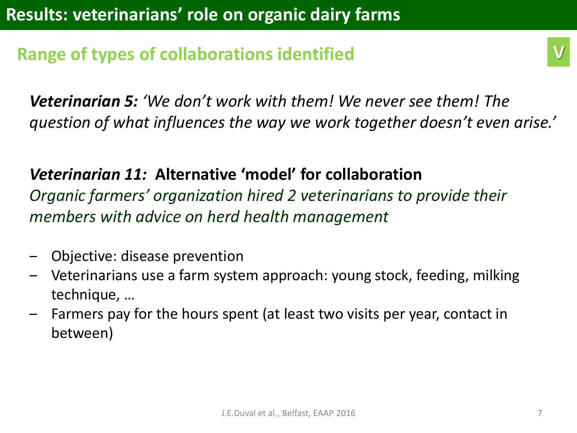### **Range of types of collaborations identified**

*Veterinarian 5: 'We don't work with them! We never see them! The question of what influences the way we work together doesn't even arise.'*

*Veterinarian 11:* **Alternative 'model' for collaboration**  *Organic farmers' organization hired 2 veterinarians to provide their members with advice on herd health management*

- ‒ Objective: disease prevention
- ‒ Veterinarians use a farm system approach: young stock, feeding, milking technique, …
- ‒ Farmers pay for the hours spent (at least two visits per year, contact in between)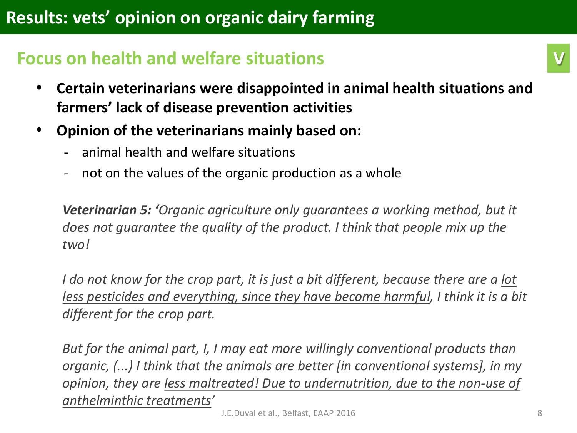### **Focus on health and welfare situations**

- **Certain veterinarians were disappointed in animal health situations and farmers' lack of disease prevention activities**
- **Opinion of the veterinarians mainly based on:**
	- animal health and welfare situations
	- not on the values of the organic production as a whole

*Veterinarian 5: 'Organic agriculture only guarantees a working method, but it does not guarantee the quality of the product. I think that people mix up the two!* 

*I do not know for the crop part, it is just a bit different, because there are a lot less pesticides and everything, since they have become harmful, I think it is a bit different for the crop part.* 

*But for the animal part, I, I may eat more willingly conventional products than organic, (...) I think that the animals are better [in conventional systems], in my opinion, they are less maltreated! Due to undernutrition, due to the non-use of anthelminthic treatments'*

**V**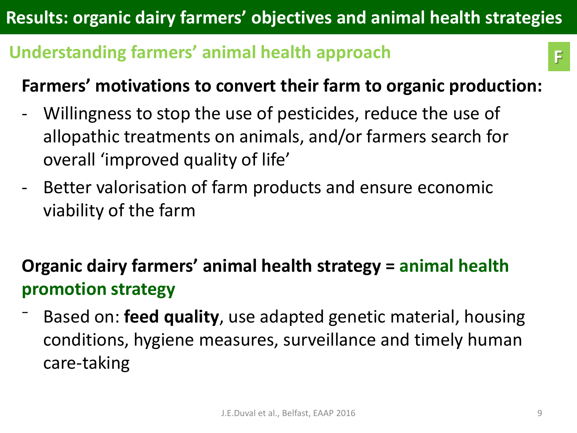# **Results: organic dairy farmers' objectives and animal health strategies**

## **Understanding farmers' animal health approach**

### **Farmers' motivations to convert their farm to organic production:**

- Willingness to stop the use of pesticides, reduce the use of allopathic treatments on animals, and/or farmers search for overall 'improved quality of life'
- Better valorisation of farm products and ensure economic viability of the farm

# **Organic dairy farmers' animal health strategy = animal health promotion strategy**

⁻ Based on: **feed quality**, use adapted genetic material, housing conditions, hygiene measures, surveillance and timely human care-taking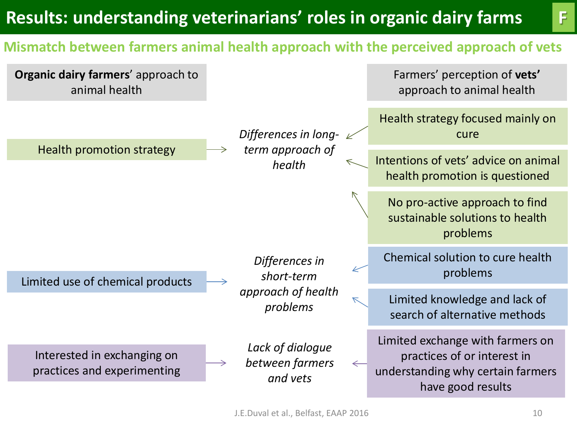# **Results: understanding veterinarians' roles in organic dairy farms F**

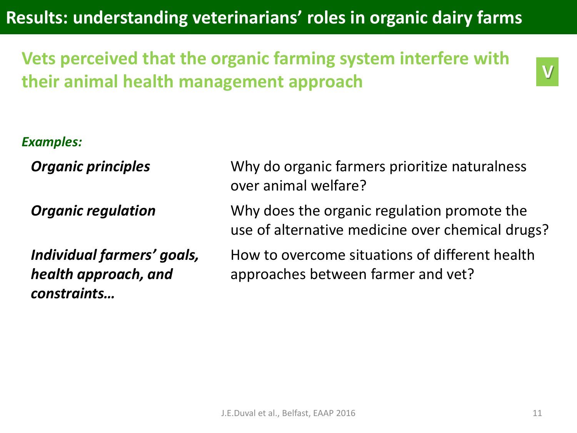**Results: understanding veterinarians' roles in organic dairy farms** 

**Vets perceived that the organic farming system interfere with their animal health management approach**

*Examples:*

*Organic principles* Why do organic farmers prioritize naturalness over animal welfare? *Organic regulation* Why does the organic regulation promote the use of alternative medicine over chemical drugs? *Individual farmers' goals, health approach, and constraints…* How to overcome situations of different health approaches between farmer and vet?

**V**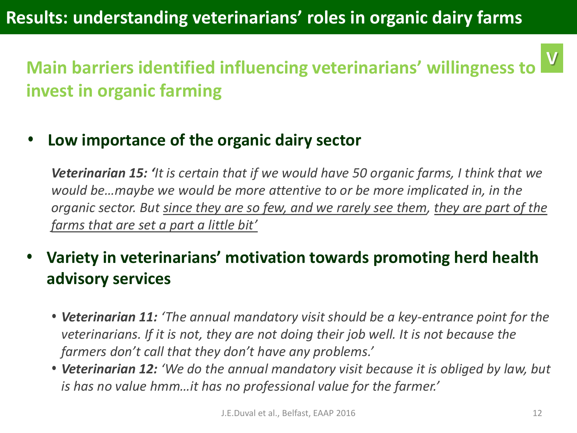#### **Main barriers identified influencing veterinarians' willingness to invest in organic farming V**

• **Low importance of the organic dairy sector**

*Veterinarian 15: 'It is certain that if we would have 50 organic farms, I think that we would be…maybe we would be more attentive to or be more implicated in, in the organic sector. But since they are so few, and we rarely see them, they are part of the farms that are set a part a little bit'*

- **Variety in veterinarians' motivation towards promoting herd health advisory services** 
	- *Veterinarian 11: 'The annual mandatory visit should be a key-entrance point for the veterinarians. If it is not, they are not doing their job well. It is not because the farmers don't call that they don't have any problems.'*
	- *Veterinarian 12: 'We do the annual mandatory visit because it is obliged by law, but is has no value hmm…it has no professional value for the farmer.'*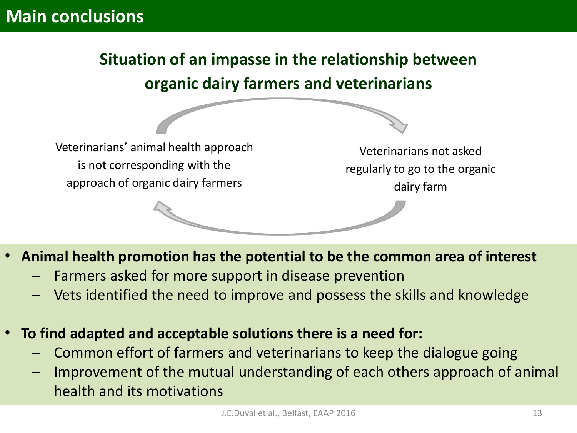# **Situation of an impasse in the relationship between organic dairy farmers and veterinarians**

Veterinarians' animal health approach is not corresponding with the approach of organic dairy farmers

Veterinarians not asked regularly to go to the organic dairy farm

- **Animal health promotion has the potential to be the common area of interest**
	- Farmers asked for more support in disease prevention
	- Vets identified the need to improve and possess the skills and knowledge
- **To find adapted and acceptable solutions there is a need for:**
	- Common effort of farmers and veterinarians to keep the dialogue going
	- Improvement of the mutual understanding of each others approach of animal health and its motivations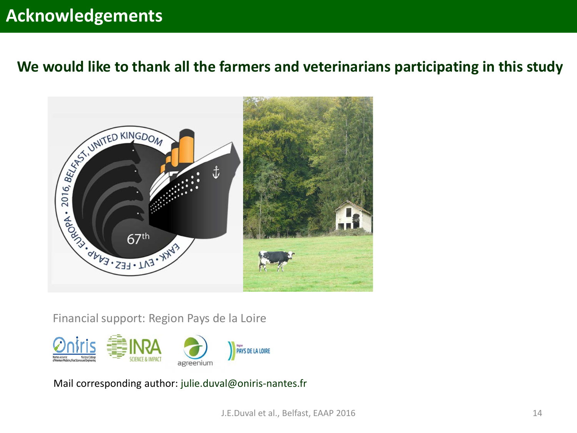### **Acknowledgements**

#### **We would like to thank all the farmers and veterinarians participating in this study**



Financial support: Region Pays de la Loire



Mail corresponding author: julie.duval@oniris-nantes.fr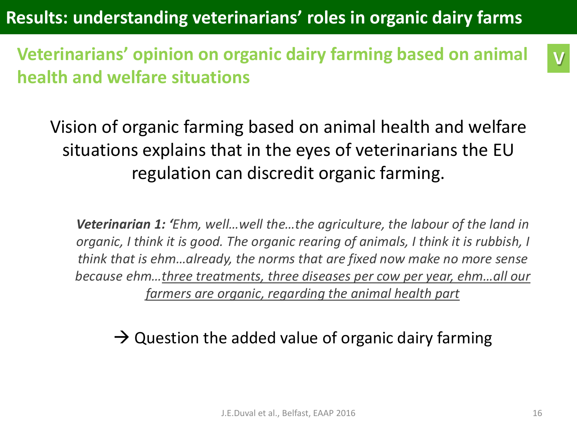**Results: understanding veterinarians' roles in organic dairy farms** 

**Veterinarians' opinion on organic dairy farming based on animal health and welfare situations**

Vision of organic farming based on animal health and welfare situations explains that in the eyes of veterinarians the EU regulation can discredit organic farming.

*Veterinarian 1: 'Ehm, well…well the…the agriculture, the labour of the land in organic, I think it is good. The organic rearing of animals, I think it is rubbish, I think that is ehm…already, the norms that are fixed now make no more sense because ehm…three treatments, three diseases per cow per year, ehm…all our farmers are organic, regarding the animal health part*

 $\rightarrow$  Question the added value of organic dairy farming

**V**